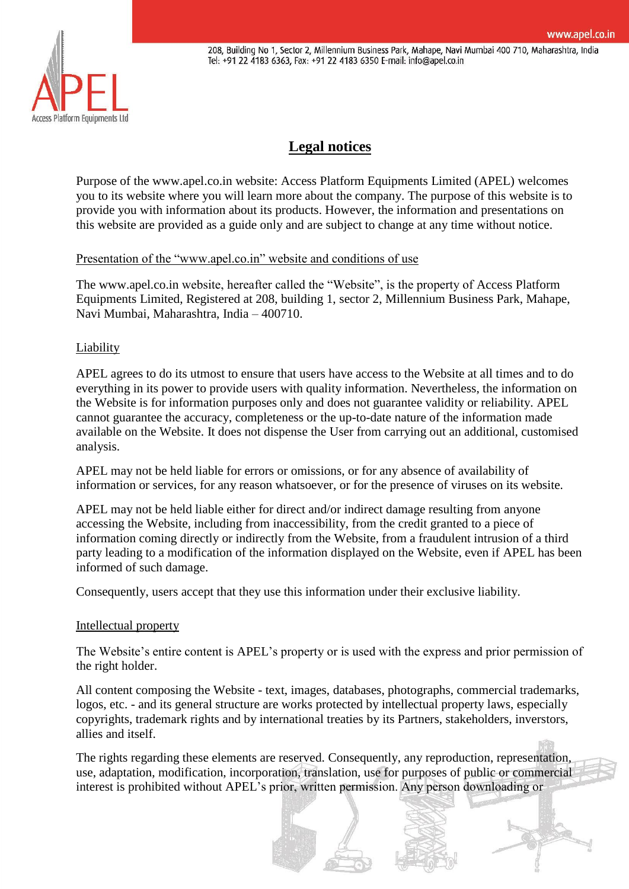208, Building No 1, Sector 2, Millennium Business Park, Mahape, Navi Mumbai 400 710, Maharashtra, India Tel: +91 22 4183 6363, Fax: +91 22 4183 6350 E-mail: info@apel.co.in



# **[Legal notices](https://scanclimber.com/legal)**

Purpose of the www.apel.co.in website: Access Platform Equipments Limited (APEL) welcomes you to its website where you will learn more about the company. The purpose of this website is to provide you with information about its products. However, the information and presentations on this website are provided as a guide only and are subject to change at any time without notice.

# Presentation of the "www.apel.co.in" website and conditions of use

The www.apel.co.in website, hereafter called the "Website", is the property of Access Platform Equipments Limited, Registered at 208, building 1, sector 2, Millennium Business Park, Mahape, Navi Mumbai, Maharashtra, India – 400710.

## Liability

APEL agrees to do its utmost to ensure that users have access to the Website at all times and to do everything in its power to provide users with quality information. Nevertheless, the information on the Website is for information purposes only and does not guarantee validity or reliability. APEL cannot guarantee the accuracy, completeness or the up-to-date nature of the information made available on the Website. It does not dispense the User from carrying out an additional, customised analysis.

APEL may not be held liable for errors or omissions, or for any absence of availability of information or services, for any reason whatsoever, or for the presence of viruses on its website.

APEL may not be held liable either for direct and/or indirect damage resulting from anyone accessing the Website, including from inaccessibility, from the credit granted to a piece of information coming directly or indirectly from the Website, from a fraudulent intrusion of a third party leading to a modification of the information displayed on the Website, even if APEL has been informed of such damage.

Consequently, users accept that they use this information under their exclusive liability.

#### Intellectual property

The Website's entire content is APEL's property or is used with the express and prior permission of the right holder.

All content composing the Website - text, images, databases, photographs, commercial trademarks, logos, etc. - and its general structure are works protected by intellectual property laws, especially copyrights, trademark rights and by international treaties by its Partners, stakeholders, inverstors, allies and itself.

The rights regarding these elements are reserved. Consequently, any reproduction, representation, use, adaptation, modification, incorporation, translation, use for purposes of public or commercial interest is prohibited without APEL's prior, written permission. Any person downloading or